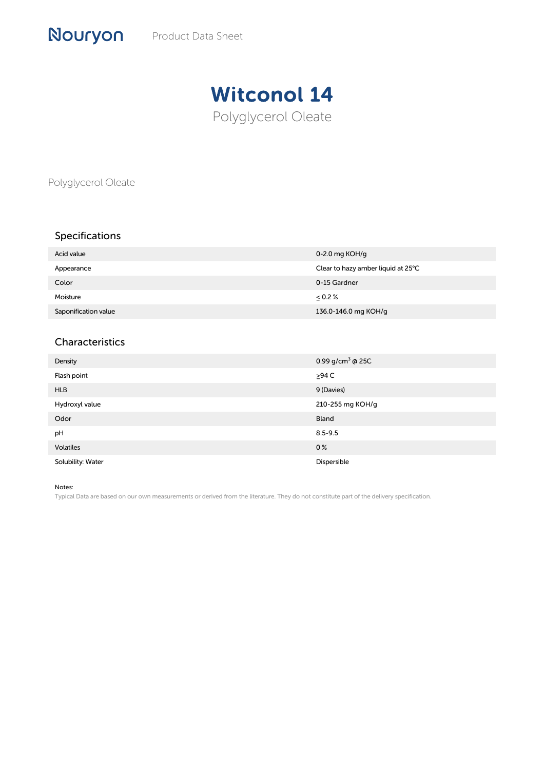## Witconol 14 Polyglycerol Oleate

Polyglycerol Oleate

Nouryon

## Specifications

| Acid value           | 0-2.0 mg $KOH/q$                   |
|----------------------|------------------------------------|
| Appearance           | Clear to hazy amber liquid at 25°C |
| Color                | 0-15 Gardner                       |
| Moisture             | $\leq 0.2 \%$                      |
| Saponification value | 136.0-146.0 mg KOH/g               |

## Characteristics

| Density           | 0.99 g/cm <sup>3</sup> @ 25C |
|-------------------|------------------------------|
| Flash point       | $\geq$ 94 C                  |
| <b>HLB</b>        | 9 (Davies)                   |
| Hydroxyl value    | 210-255 mg KOH/g             |
| Odor              | Bland                        |
| pH                | $8.5 - 9.5$                  |
| <b>Volatiles</b>  | 0 <sup>%</sup>               |
| Solubility: Water | Dispersible                  |

Notes:

Typical Data are based on our own measurements or derived from the literature. They do not constitute part of the delivery specification.